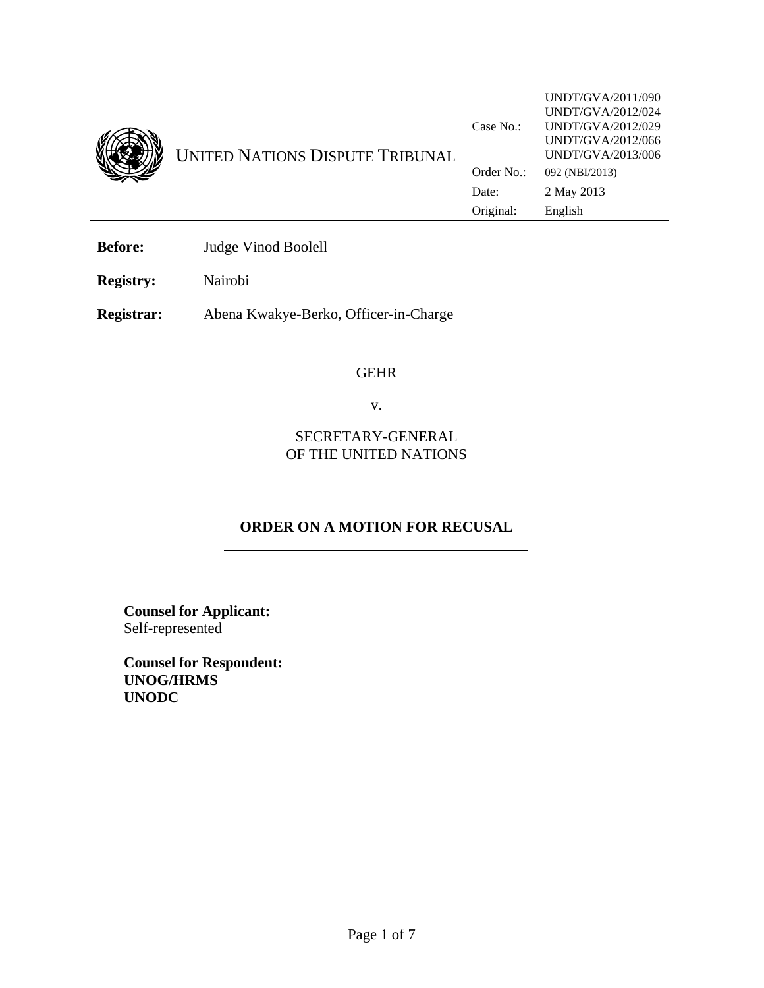| UNITED NATIONS DISPUTE TRIBUNAL | Case $No.$ : | UNDT/GVA/2011/090<br>UNDT/GVA/2012/024<br>UNDT/GVA/2012/029<br>UNDT/GVA/2012/066<br>UNDT/GVA/2013/006 |
|---------------------------------|--------------|-------------------------------------------------------------------------------------------------------|
|                                 | Order No.:   | 092 (NBI/2013)                                                                                        |
|                                 | Date:        | 2 May 2013                                                                                            |
|                                 | Original:    | English                                                                                               |
|                                 |              |                                                                                                       |

**Before:** Judge Vinod Boolell

**Registry:** Nairobi

**Registrar:** Abena Kwakye-Berko, Officer-in-Charge

#### GEHR

v.

SECRETARY-GENERAL OF THE UNITED NATIONS

# **ORDER ON A MOTION FOR RECUSAL**

**Counsel for Applicant:**  Self-represented

**Counsel for Respondent: UNOG/HRMS UNODC**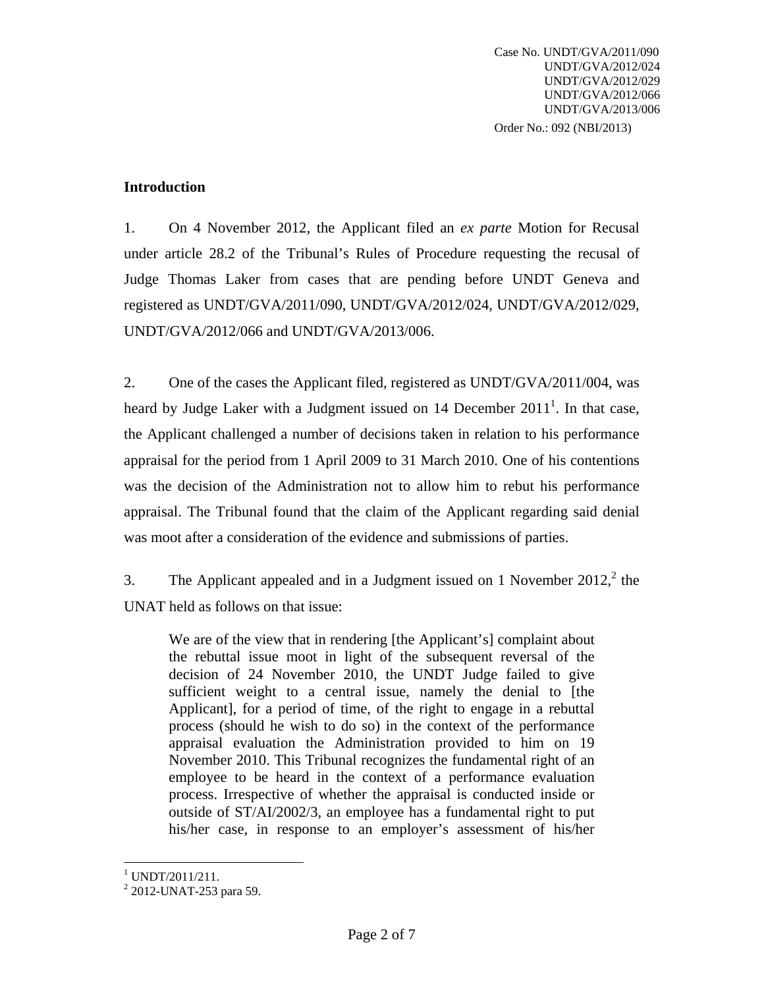### **Introduction**

1. On 4 November 2012, the Applicant filed an *ex parte* Motion for Recusal under article 28.2 of the Tribunal's Rules of Procedure requesting the recusal of Judge Thomas Laker from cases that are pending before UNDT Geneva and registered as UNDT/GVA/2011/090, UNDT/GVA/2012/024, UNDT/GVA/2012/029, UNDT/GVA/2012/066 and UNDT/GVA/2013/006.

2. One of the cases the Applicant filed, registered as UNDT/GVA/2011/004, was heard by Judge Laker with a Judgment issued on  $14$  December  $2011<sup>1</sup>$ . In that case, the Applicant challenged a number of decisions taken in relation to his performance appraisal for the period from 1 April 2009 to 31 March 2010. One of his contentions was the decision of the Administration not to allow him to rebut his performance appraisal. The Tribunal found that the claim of the Applicant regarding said denial was moot after a consideration of the evidence and submissions of parties.

3. The Applicant appealed and in a Judgment issued on 1 November  $2012<sup>2</sup>$ , the UNAT held as follows on that issue:

We are of the view that in rendering [the Applicant's] complaint about the rebuttal issue moot in light of the subsequent reversal of the decision of 24 November 2010, the UNDT Judge failed to give sufficient weight to a central issue, namely the denial to [the Applicant], for a period of time, of the right to engage in a rebuttal process (should he wish to do so) in the context of the performance appraisal evaluation the Administration provided to him on 19 November 2010. This Tribunal recognizes the fundamental right of an employee to be heard in the context of a performance evaluation process. Irrespective of whether the appraisal is conducted inside or outside of ST/AI/2002/3, an employee has a fundamental right to put his/her case, in response to an employer's assessment of his/her

<sup>1</sup> 1 UNDT/2011/211.

 $2$  2012-UNAT-253 para 59.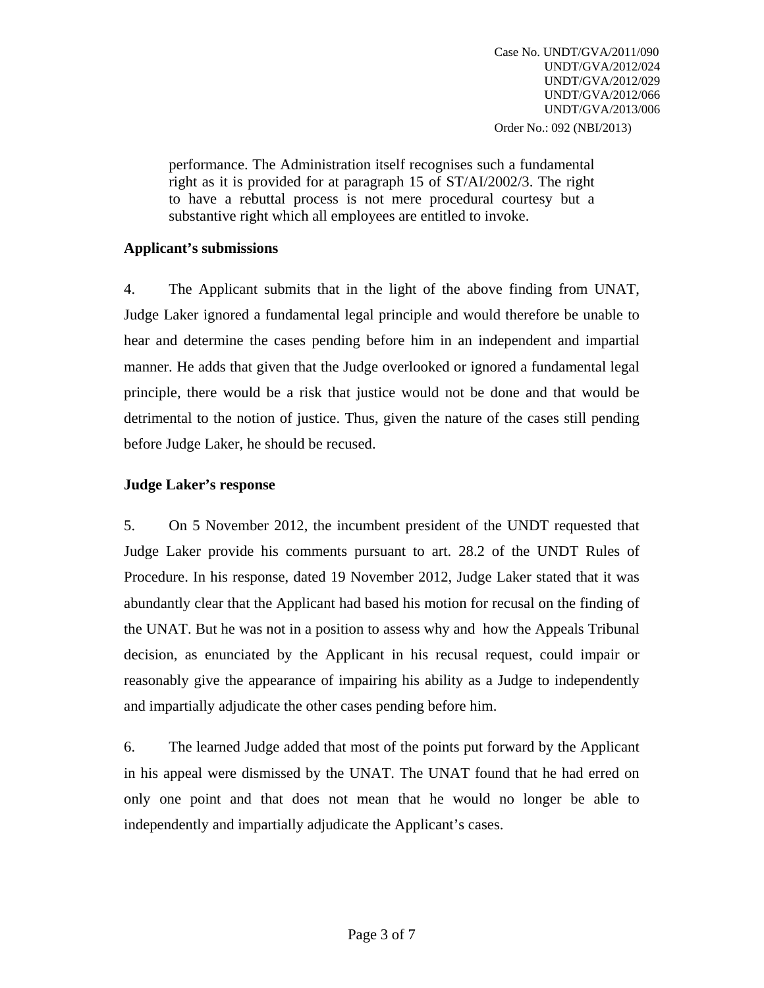performance. The Administration itself recognises such a fundamental right as it is provided for at paragraph 15 of ST/AI/2002/3. The right to have a rebuttal process is not mere procedural courtesy but a substantive right which all employees are entitled to invoke.

### **Applicant's submissions**

4. The Applicant submits that in the light of the above finding from UNAT, Judge Laker ignored a fundamental legal principle and would therefore be unable to hear and determine the cases pending before him in an independent and impartial manner. He adds that given that the Judge overlooked or ignored a fundamental legal principle, there would be a risk that justice would not be done and that would be detrimental to the notion of justice. Thus, given the nature of the cases still pending before Judge Laker, he should be recused.

## **Judge Laker's response**

5. On 5 November 2012, the incumbent president of the UNDT requested that Judge Laker provide his comments pursuant to art. 28.2 of the UNDT Rules of Procedure. In his response, dated 19 November 2012, Judge Laker stated that it was abundantly clear that the Applicant had based his motion for recusal on the finding of the UNAT. But he was not in a position to assess why and how the Appeals Tribunal decision, as enunciated by the Applicant in his recusal request, could impair or reasonably give the appearance of impairing his ability as a Judge to independently and impartially adjudicate the other cases pending before him.

6. The learned Judge added that most of the points put forward by the Applicant in his appeal were dismissed by the UNAT. The UNAT found that he had erred on only one point and that does not mean that he would no longer be able to independently and impartially adjudicate the Applicant's cases.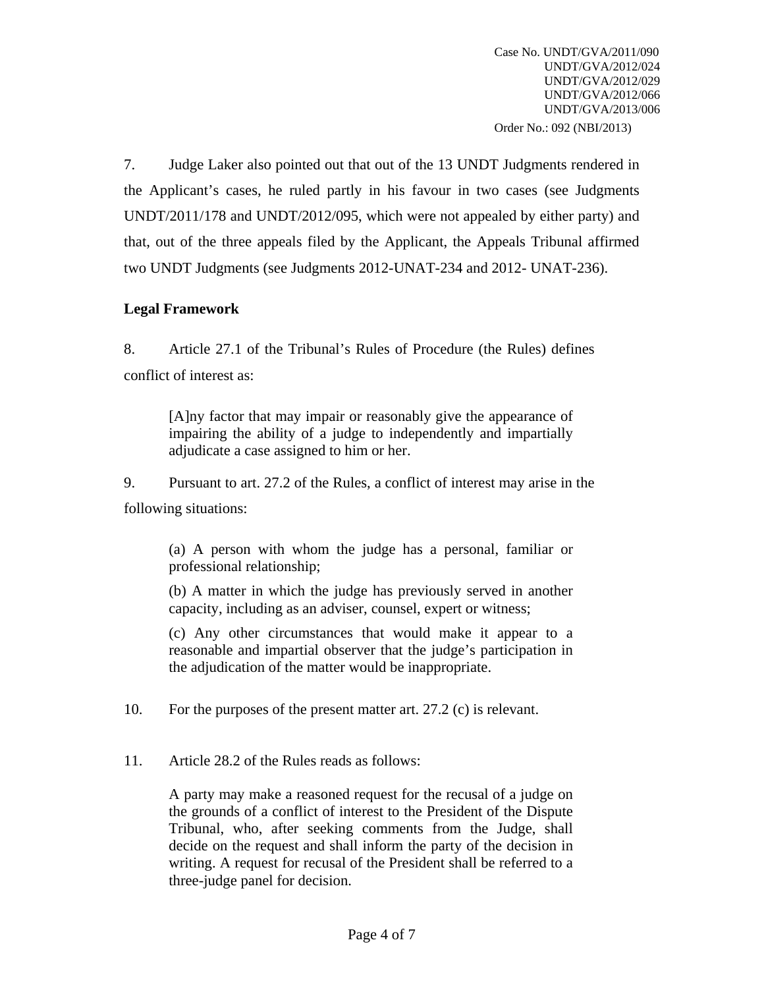7. Judge Laker also pointed out that out of the 13 UNDT Judgments rendered in the Applicant's cases, he ruled partly in his favour in two cases (see Judgments UNDT/2011/178 and UNDT/2012/095, which were not appealed by either party) and that, out of the three appeals filed by the Applicant, the Appeals Tribunal affirmed two UNDT Judgments (see Judgments 2012-UNAT-234 and 2012- UNAT-236).

### **Legal Framework**

8. Article 27.1 of the Tribunal's Rules of Procedure (the Rules) defines conflict of interest as:

[A]ny factor that may impair or reasonably give the appearance of impairing the ability of a judge to independently and impartially adjudicate a case assigned to him or her.

9. Pursuant to art. 27.2 of the Rules, a conflict of interest may arise in the following situations:

(a) A person with whom the judge has a personal, familiar or professional relationship;

(b) A matter in which the judge has previously served in another capacity, including as an adviser, counsel, expert or witness;

(c) Any other circumstances that would make it appear to a reasonable and impartial observer that the judge's participation in the adjudication of the matter would be inappropriate.

10. For the purposes of the present matter art. 27.2 (c) is relevant.

11. Article 28.2 of the Rules reads as follows:

A party may make a reasoned request for the recusal of a judge on the grounds of a conflict of interest to the President of the Dispute Tribunal, who, after seeking comments from the Judge, shall decide on the request and shall inform the party of the decision in writing. A request for recusal of the President shall be referred to a three-judge panel for decision.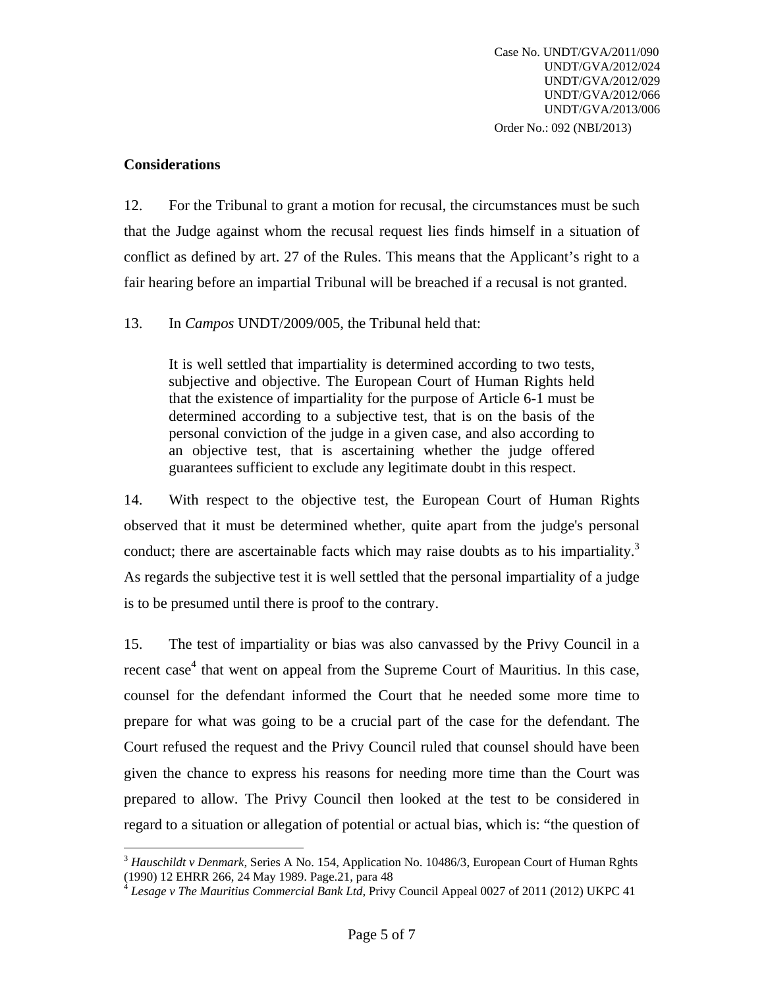### **Considerations**

12. For the Tribunal to grant a motion for recusal, the circumstances must be such that the Judge against whom the recusal request lies finds himself in a situation of conflict as defined by art. 27 of the Rules. This means that the Applicant's right to a fair hearing before an impartial Tribunal will be breached if a recusal is not granted.

13. In *Campos* UNDT/2009/005, the Tribunal held that:

It is well settled that impartiality is determined according to two tests, subjective and objective. The European Court of Human Rights held that the existence of impartiality for the purpose of Article 6-1 must be determined according to a subjective test, that is on the basis of the personal conviction of the judge in a given case, and also according to an objective test, that is ascertaining whether the judge offered guarantees sufficient to exclude any legitimate doubt in this respect.

14. With respect to the objective test, the European Court of Human Rights observed that it must be determined whether, quite apart from the judge's personal conduct; there are ascertainable facts which may raise doubts as to his impartiality.<sup>3</sup> As regards the subjective test it is well settled that the personal impartiality of a judge is to be presumed until there is proof to the contrary.

15. The test of impartiality or bias was also canvassed by the Privy Council in a recent case<sup>4</sup> that went on appeal from the Supreme Court of Mauritius. In this case, counsel for the defendant informed the Court that he needed some more time to prepare for what was going to be a crucial part of the case for the defendant. The Court refused the request and the Privy Council ruled that counsel should have been given the chance to express his reasons for needing more time than the Court was prepared to allow. The Privy Council then looked at the test to be considered in regard to a situation or allegation of potential or actual bias, which is: "the question of

<sup>1</sup> <sup>3</sup> *Hauschildt v Denmark,* Series A No. 154, Application No. 10486/3, European Court of Human Rghts (1990) 12 EHRR 266, 24 May 1989. Page.21, para 48

<sup>4</sup> *Lesage v The Mauritius Commercial Bank Ltd*, Privy Council Appeal 0027 of 2011 (2012) UKPC 41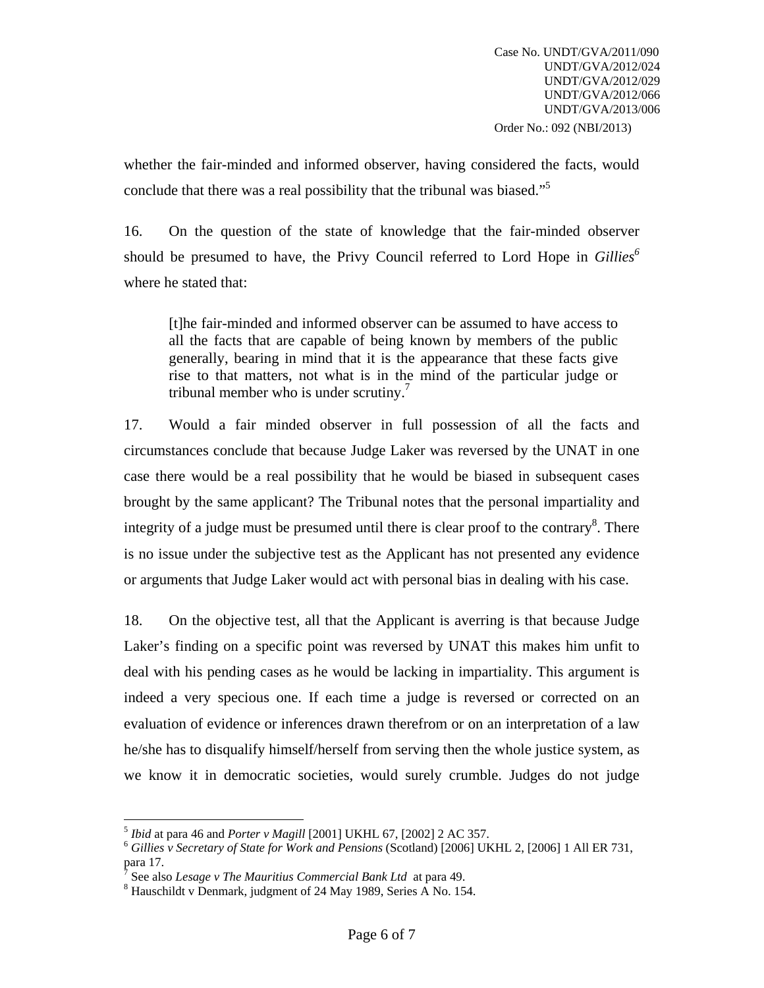whether the fair-minded and informed observer, having considered the facts, would conclude that there was a real possibility that the tribunal was biased."5

16. On the question of the state of knowledge that the fair-minded observer should be presumed to have, the Privy Council referred to Lord Hope in *Gillies*<sup>6</sup> where he stated that:

[t]he fair-minded and informed observer can be assumed to have access to all the facts that are capable of being known by members of the public generally, bearing in mind that it is the appearance that these facts give rise to that matters, not what is in the mind of the particular judge or tribunal member who is under scrutiny.<sup>7</sup>

17. Would a fair minded observer in full possession of all the facts and circumstances conclude that because Judge Laker was reversed by the UNAT in one case there would be a real possibility that he would be biased in subsequent cases brought by the same applicant? The Tribunal notes that the personal impartiality and integrity of a judge must be presumed until there is clear proof to the contrary $\delta$ . There is no issue under the subjective test as the Applicant has not presented any evidence or arguments that Judge Laker would act with personal bias in dealing with his case.

18. On the objective test, all that the Applicant is averring is that because Judge Laker's finding on a specific point was reversed by UNAT this makes him unfit to deal with his pending cases as he would be lacking in impartiality. This argument is indeed a very specious one. If each time a judge is reversed or corrected on an evaluation of evidence or inferences drawn therefrom or on an interpretation of a law he/she has to disqualify himself/herself from serving then the whole justice system, as we know it in democratic societies, would surely crumble. Judges do not judge

1

<sup>5</sup> *Ibid* at para 46 and *Porter v Magill* [2001] UKHL 67, [2002] 2 AC 357. 6 *Gillies v Secretary of State for Work and Pensions* (Scotland) [2006] UKHL 2, [2006] 1 All ER 731, para 17.

<sup>7</sup> See also *Lesage v The Mauritius Commercial Bank Ltd* at para 49.

<sup>&</sup>lt;sup>8</sup> Hauschildt v Denmark, judgment of 24 May 1989, Series A No. 154.